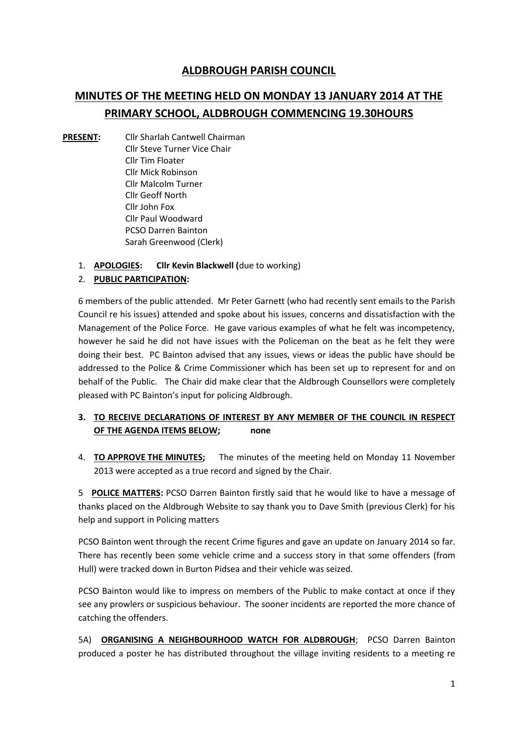## **ALDBROUGH PARISH COUNCIL**

# **MINUTES OF THE MEETING HELD ON MONDAY 13 JANUARY 2014 AT THE PRIMARY SCHOOL, ALDBROUGH COMMENCING 19.30HOURS**

- **PRESENT:** Cllr Sharlah Cantwell Chairman Cllr Steve Turner Vice Chair Cllr Tim Floater Cllr Mick Robinson Cllr Malcolm Turner Cllr Geoff North Cllr John Fox Cllr Paul Woodward PCSO Darren Bainton Sarah Greenwood (Clerk)
	- 1. **APOLOGIES: Cllr Kevin Blackwell (**due to working)

## 2. **PUBLIC PARTICIPATION:**

6 members of the public attended. Mr Peter Garnett (who had recently sent emails to the Parish Council re his issues) attended and spoke about his issues, concerns and dissatisfaction with the Management of the Police Force. He gave various examples of what he felt was incompetency, however he said he did not have issues with the Policeman on the beat as he felt they were doing their best. PC Bainton advised that any issues, views or ideas the public have should be addressed to the Police & Crime Commissioner which has been set up to represent for and on behalf of the Public. The Chair did make clear that the Aldbrough Counsellors were completely pleased with PC Bainton's input for policing Aldbrough.

## **3. TO RECEIVE DECLARATIONS OF INTEREST BY ANY MEMBER OF THE COUNCIL IN RESPECT OF THE AGENDA ITEMS BELOW; none**

4. **TO APPROVE THE MINUTES;** The minutes of the meeting held on Monday 11 November 2013 were accepted as a true record and signed by the Chair.

5 **POLICE MATTERS:** PCSO Darren Bainton firstly said that he would like to have a message of thanks placed on the Aldbrough Website to say thank you to Dave Smith (previous Clerk) for his help and support in Policing matters

PCSO Bainton went through the recent Crime figures and gave an update on January 2014 so far. There has recently been some vehicle crime and a success story in that some offenders (from Hull) were tracked down in Burton Pidsea and their vehicle was seized.

PCSO Bainton would like to impress on members of the Public to make contact at once if they see any prowlers or suspicious behaviour. The sooner incidents are reported the more chance of catching the offenders.

5A) **ORGANISING A NEIGHBOURHOOD WATCH FOR ALDBROUGH**; PCSO Darren Bainton produced a poster he has distributed throughout the village inviting residents to a meeting re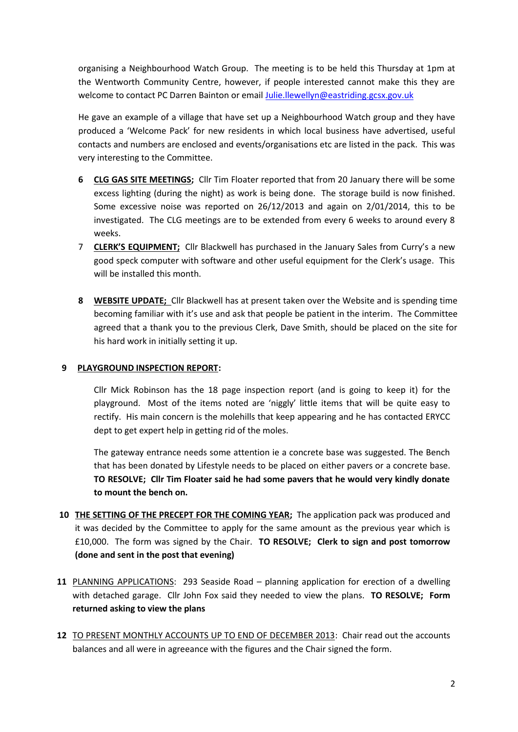organising a Neighbourhood Watch Group. The meeting is to be held this Thursday at 1pm at the Wentworth Community Centre, however, if people interested cannot make this they are welcome to contact PC Darren Bainton or email Julie.llewellyn@eastriding.gcsx.gov.uk

He gave an example of a village that have set up a Neighbourhood Watch group and they have produced a 'Welcome Pack' for new residents in which local business have advertised, useful contacts and numbers are enclosed and events/organisations etc are listed in the pack. This was very interesting to the Committee.

- **6 CLG GAS SITE MEETINGS;** Cllr Tim Floater reported that from 20 January there will be some excess lighting (during the night) as work is being done. The storage build is now finished. Some excessive noise was reported on 26/12/2013 and again on 2/01/2014, this to be investigated. The CLG meetings are to be extended from every 6 weeks to around every 8 weeks.
- 7 **CLERK'S EQUIPMENT;** Cllr Blackwell has purchased in the January Sales from Curry's a new good speck computer with software and other useful equipment for the Clerk's usage. This will be installed this month.
- **8 WEBSITE UPDATE;** Cllr Blackwell has at present taken over the Website and is spending time becoming familiar with it's use and ask that people be patient in the interim. The Committee agreed that a thank you to the previous Clerk, Dave Smith, should be placed on the site for his hard work in initially setting it up.

#### **9 PLAYGROUND INSPECTION REPORT:**

Cllr Mick Robinson has the 18 page inspection report (and is going to keep it) for the playground. Most of the items noted are 'niggly' little items that will be quite easy to rectify. His main concern is the molehills that keep appearing and he has contacted ERYCC dept to get expert help in getting rid of the moles.

The gateway entrance needs some attention ie a concrete base was suggested. The Bench that has been donated by Lifestyle needs to be placed on either pavers or a concrete base. **TO RESOLVE; Cllr Tim Floater said he had some pavers that he would very kindly donate to mount the bench on.**

- **10 THE SETTING OF THE PRECEPT FOR THE COMING YEAR;** The application pack was produced and it was decided by the Committee to apply for the same amount as the previous year which is £10,000. The form was signed by the Chair. **TO RESOLVE; Clerk to sign and post tomorrow (done and sent in the post that evening)**
- **11** PLANNING APPLICATIONS: 293 Seaside Road planning application for erection of a dwelling with detached garage. Cllr John Fox said they needed to view the plans. **TO RESOLVE; Form returned asking to view the plans**
- **12** TO PRESENT MONTHLY ACCOUNTS UP TO END OF DECEMBER 2013: Chair read out the accounts balances and all were in agreeance with the figures and the Chair signed the form.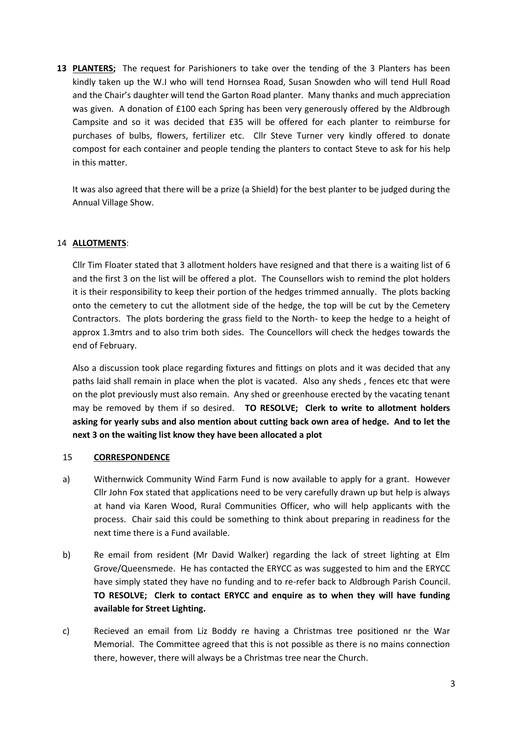**13 PLANTERS;** The request for Parishioners to take over the tending of the 3 Planters has been kindly taken up the W.I who will tend Hornsea Road, Susan Snowden who will tend Hull Road and the Chair's daughter will tend the Garton Road planter. Many thanks and much appreciation was given. A donation of £100 each Spring has been very generously offered by the Aldbrough Campsite and so it was decided that £35 will be offered for each planter to reimburse for purchases of bulbs, flowers, fertilizer etc. Cllr Steve Turner very kindly offered to donate compost for each container and people tending the planters to contact Steve to ask for his help in this matter.

It was also agreed that there will be a prize (a Shield) for the best planter to be judged during the Annual Village Show.

## 14 **ALLOTMENTS**:

Cllr Tim Floater stated that 3 allotment holders have resigned and that there is a waiting list of 6 and the first 3 on the list will be offered a plot. The Counsellors wish to remind the plot holders it is their responsibility to keep their portion of the hedges trimmed annually. The plots backing onto the cemetery to cut the allotment side of the hedge, the top will be cut by the Cemetery Contractors. The plots bordering the grass field to the North- to keep the hedge to a height of approx 1.3mtrs and to also trim both sides. The Councellors will check the hedges towards the end of February.

Also a discussion took place regarding fixtures and fittings on plots and it was decided that any paths laid shall remain in place when the plot is vacated. Also any sheds , fences etc that were on the plot previously must also remain. Any shed or greenhouse erected by the vacating tenant may be removed by them if so desired. **TO RESOLVE; Clerk to write to allotment holders asking for yearly subs and also mention about cutting back own area of hedge. And to let the next 3 on the waiting list know they have been allocated a plot**

#### 15 **CORRESPONDENCE**

- a) Withernwick Community Wind Farm Fund is now available to apply for a grant. However Cllr John Fox stated that applications need to be very carefully drawn up but help is always at hand via Karen Wood, Rural Communities Officer, who will help applicants with the process. Chair said this could be something to think about preparing in readiness for the next time there is a Fund available.
- b) Re email from resident (Mr David Walker) regarding the lack of street lighting at Elm Grove/Queensmede. He has contacted the ERYCC as was suggested to him and the ERYCC have simply stated they have no funding and to re-refer back to Aldbrough Parish Council. **TO RESOLVE; Clerk to contact ERYCC and enquire as to when they will have funding available for Street Lighting.**
- c) Recieved an email from Liz Boddy re having a Christmas tree positioned nr the War Memorial. The Committee agreed that this is not possible as there is no mains connection there, however, there will always be a Christmas tree near the Church.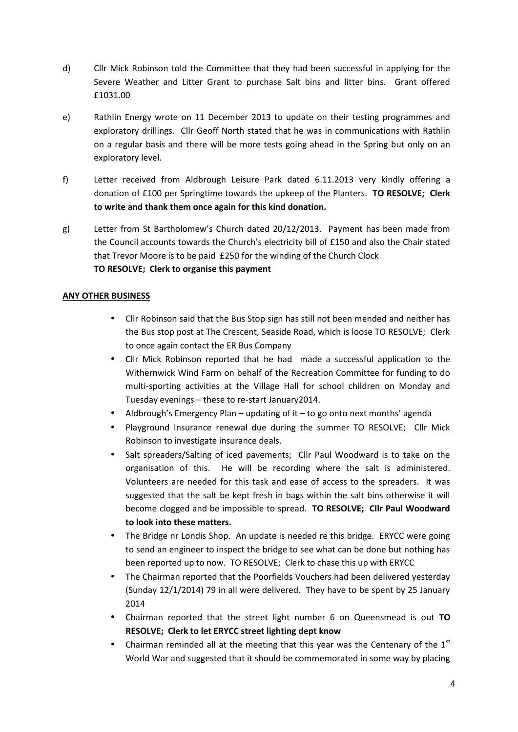- d) Cllr Mick Robinson told the Committee that they had been successful in applying for the Severe Weather and Litter Grant to purchase Salt bins and litter bins. Grant offered £1031.00
- e) Rathlin Energy wrote on 11 December 2013 to update on their testing programmes and exploratory drillings. Cllr Geoff North stated that he was in communications with Rathlin on a regular basis and there will be more tests going ahead in the Spring but only on an exploratory level.
- f) Letter received from Aldbrough Leisure Park dated 6.11.2013 very kindly offering a donation of £100 per Springtime towards the upkeep of the Planters. **TO RESOLVE; Clerk to write and thank them once again for this kind donation.**
- g) Letter from St Bartholomew's Church dated 20/12/2013. Payment has been made from the Council accounts towards the Church's electricity bill of £150 and also the Chair stated that Trevor Moore is to be paid £250 for the winding of the Church Clock **TO RESOLVE; Clerk to organise this payment**

## **ANY OTHER BUSINESS**

- Cllr Robinson said that the Bus Stop sign has still not been mended and neither has the Bus stop post at The Crescent, Seaside Road, which is loose TO RESOLVE; Clerk to once again contact the ER Bus Company
- Cllr Mick Robinson reported that he had made a successful application to the Withernwick Wind Farm on behalf of the Recreation Committee for funding to do multi-sporting activities at the Village Hall for school children on Monday and Tuesday evenings – these to re-start January2014.
- Aldbrough's Emergency Plan updating of it to go onto next months' agenda
- Playground Insurance renewal due during the summer TO RESOLVE; Cllr Mick Robinson to investigate insurance deals.
- Salt spreaders/Salting of iced pavements; Cllr Paul Woodward is to take on the organisation of this. He will be recording where the salt is administered. Volunteers are needed for this task and ease of access to the spreaders. It was suggested that the salt be kept fresh in bags within the salt bins otherwise it will become clogged and be impossible to spread. **TO RESOLVE; Cllr Paul Woodward to look into these matters.**
- The Bridge nr Londis Shop. An update is needed re this bridge. ERYCC were going to send an engineer to inspect the bridge to see what can be done but nothing has been reported up to now. TO RESOLVE; Clerk to chase this up with ERYCC
- The Chairman reported that the Poorfields Vouchers had been delivered yesterday (Sunday 12/1/2014) 79 in all were delivered. They have to be spent by 25 January 2014
- Chairman reported that the street light number 6 on Queensmead is out **TO RESOLVE; Clerk to let ERYCC street lighting dept know**
- Chairman reminded all at the meeting that this year was the Centenary of the  $1<sup>st</sup>$ World War and suggested that it should be commemorated in some way by placing